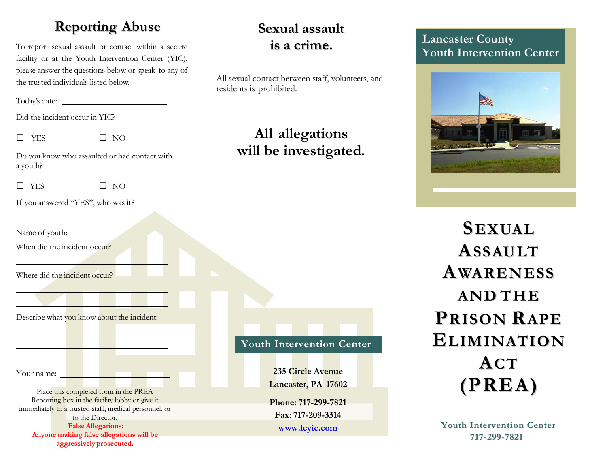### **Reporting Abuse**

To report sexual assault or contact within a secure facility or at the Youth Intervention Center (YIC), please answer the questions below or speak to any of the trusted individuals listed below.

Today's date:

Did the incident occur in YIC?

 $\square$  YES  $\square$  NO

Do you know who assaulted or had contact with a youth?

 $\square$  YES  $\square$  NO

If you answered "YES", who was it?

Name of youth:

When did the incident occur?

Where did the incident occur?

Describe what you know about the incident:

Your name:

Place this completed form in the PREA Reporting box in the facility lobby or give it immediately to a trusted staff, medical personnel, or to the Director. **FalseAllegations: Anyone making false allegations will be aggressivelyprosecuted.**

<u> 1989 - Andrea Station III, am Franc</u>

## **Sexual assault is a crime.**

All sexual contact between staff, volunteers, and residents is prohibited.

# **All allegations will be investigated.**

**Youth Intervention Center**

**235 Circle Avenue Lancaster, PA 17602**

**Phone: 717-299-7821 Fax: 717-209-3314**

**www.lcyic.com**

#### **Lancaster County Youth Intervention Center**



**SEXUAL ASSAULT AWARENESS AND THE PRISON RAPE ELIMINATION ACT (PREA)**

**Youth Intervention Center 717-299-7821**